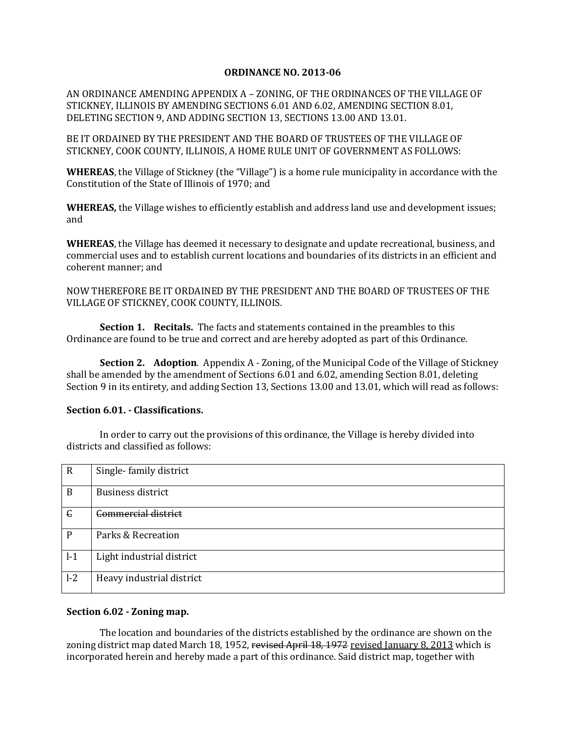#### **ORDINANCE NO. 2013-06**

AN ORDINANCE AMENDING APPENDIX A – ZONING, OF THE ORDINANCES OF THE VILLAGE OF STICKNEY, ILLINOIS BY AMENDING SECTIONS 6.01 AND 6.02, AMENDING SECTION 8.01, DELETING SECTION 9, AND ADDING SECTION 13, SECTIONS 13.00 AND 13.01.

BE IT ORDAINED BY THE PRESIDENT AND THE BOARD OF TRUSTEES OF THE VILLAGE OF STICKNEY, COOK COUNTY, ILLINOIS, A HOME RULE UNIT OF GOVERNMENT AS FOLLOWS:

**WHEREAS**, the Village of Stickney (the "Village") is a home rule municipality in accordance with the Constitution of the State of Illinois of 1970; and

**WHEREAS,** the Village wishes to efficiently establish and address land use and development issues; and

**WHEREAS**, the Village has deemed it necessary to designate and update recreational, business, and commercial uses and to establish current locations and boundaries of its districts in an efficient and coherent manner; and

NOW THEREFORE BE IT ORDAINED BY THE PRESIDENT AND THE BOARD OF TRUSTEES OF THE VILLAGE OF STICKNEY, COOK COUNTY, ILLINOIS.

**Section 1. Recitals.** The facts and statements contained in the preambles to this Ordinance are found to be true and correct and are hereby adopted as part of this Ordinance.

**Section 2. Adoption**. Appendix A - Zoning, of the Municipal Code of the Village of Stickney shall be amended by the amendment of Sections 6.01 and 6.02, amending Section 8.01, deleting Section 9 in its entirety, and adding Section 13, Sections 13.00 and 13.01, which will read as follows:

#### **Section 6.01. - Classifications.**

In order to carry out the provisions of this ordinance, the Village is hereby divided into districts and classified as follows:

| $\mathbf R$ | Single-family district     |
|-------------|----------------------------|
| B           | <b>Business district</b>   |
| $\epsilon$  | <b>Commercial district</b> |
| P           | Parks & Recreation         |
| $l-1$       | Light industrial district  |
| $l-2$       | Heavy industrial district  |

#### **Section 6.02 - Zoning map.**

The location and boundaries of the districts established by the ordinance are shown on the zoning district map dated March 18, 1952, revised April 18, 1972 revised January 8, 2013 which is incorporated herein and hereby made a part of this ordinance. Said district map, together with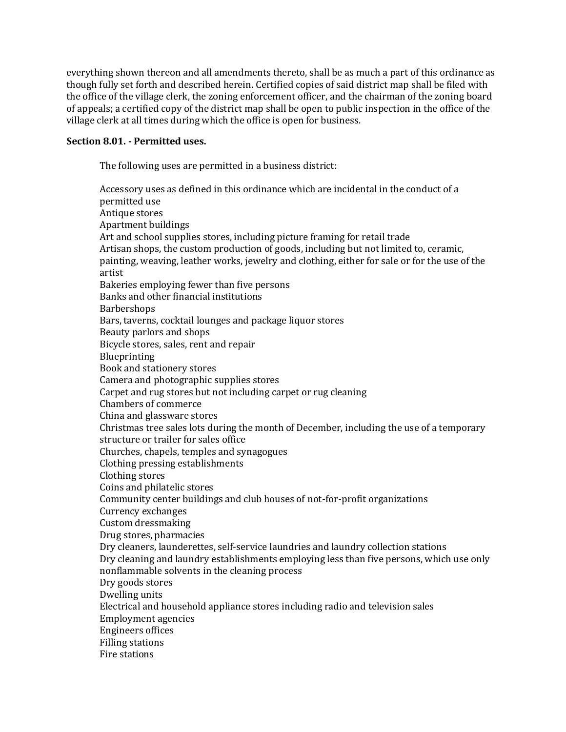everything shown thereon and all amendments thereto, shall be as much a part of this ordinance as though fully set forth and described herein. Certified copies of said district map shall be filed with the office of the village clerk, the zoning enforcement officer, and the chairman of the zoning board of appeals; a certified copy of the district map shall be open to public inspection in the office of the village clerk at all times during which the office is open for business.

#### **Section 8.01. - Permitted uses.**

The following uses are permitted in a business district:

Accessory uses as defined in this ordinance which are incidental in the conduct of a permitted use Antique stores Apartment buildings Art and school supplies stores, including picture framing for retail trade Artisan shops, the custom production of goods, including but not limited to, ceramic, painting, weaving, leather works, jewelry and clothing, either for sale or for the use of the artist Bakeries employing fewer than five persons Banks and other financial institutions **Barbershops** Bars, taverns, cocktail lounges and package liquor stores Beauty parlors and shops Bicycle stores, sales, rent and repair Blueprinting Book and stationery stores Camera and photographic supplies stores Carpet and rug stores but not including carpet or rug cleaning Chambers of commerce China and glassware stores Christmas tree sales lots during the month of December, including the use of a temporary structure or trailer for sales office Churches, chapels, temples and synagogues Clothing pressing establishments Clothing stores Coins and philatelic stores Community center buildings and club houses of not-for-profit organizations Currency exchanges Custom dressmaking Drug stores, pharmacies Dry cleaners, launderettes, self-service laundries and laundry collection stations Dry cleaning and laundry establishments employing less than five persons, which use only nonflammable solvents in the cleaning process Dry goods stores Dwelling units Electrical and household appliance stores including radio and television sales Employment agencies Engineers offices Filling stations Fire stations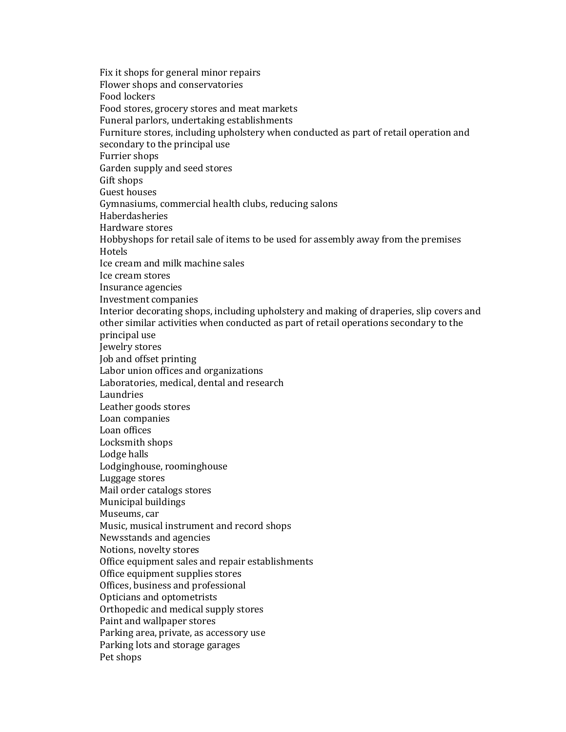Fix it shops for general minor repairs Flower shops and conservatories Food lockers Food stores, grocery stores and meat markets Funeral parlors, undertaking establishments Furniture stores, including upholstery when conducted as part of retail operation and secondary to the principal use Furrier shops Garden supply and seed stores Gift shops Guest houses Gymnasiums, commercial health clubs, reducing salons Haberdasheries Hardware stores Hobbyshops for retail sale of items to be used for assembly away from the premises **Hotels** Ice cream and milk machine sales Ice cream stores Insurance agencies Investment companies Interior decorating shops, including upholstery and making of draperies, slip covers and other similar activities when conducted as part of retail operations secondary to the principal use Jewelry stores Job and offset printing Labor union offices and organizations Laboratories, medical, dental and research Laundries Leather goods stores Loan companies Loan offices Locksmith shops Lodge halls Lodginghouse, roominghouse Luggage stores Mail order catalogs stores Municipal buildings Museums, car Music, musical instrument and record shops Newsstands and agencies Notions, novelty stores Office equipment sales and repair establishments Office equipment supplies stores Offices, business and professional Opticians and optometrists Orthopedic and medical supply stores Paint and wallpaper stores Parking area, private, as accessory use Parking lots and storage garages Pet shops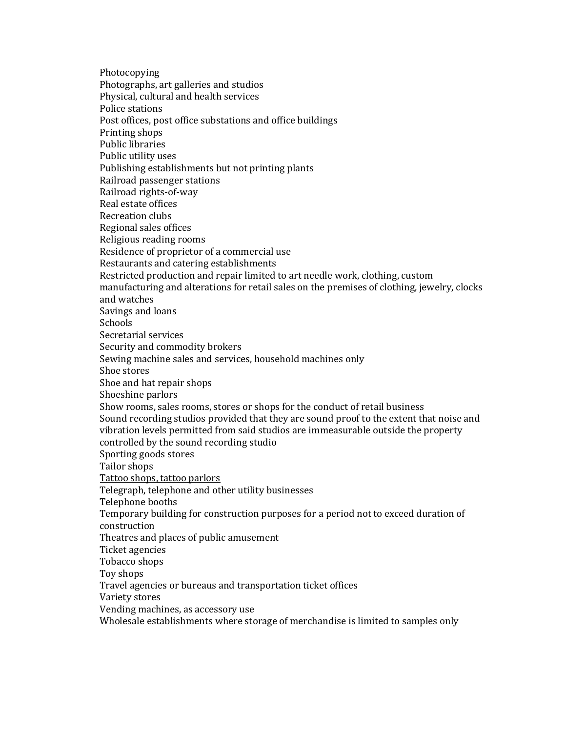Photocopying Photographs, art galleries and studios Physical, cultural and health services Police stations Post offices, post office substations and office buildings Printing shops Public libraries Public utility uses Publishing establishments but not printing plants Railroad passenger stations Railroad rights-of-way Real estate offices Recreation clubs Regional sales offices Religious reading rooms Residence of proprietor of a commercial use Restaurants and catering establishments Restricted production and repair limited to art needle work, clothing, custom manufacturing and alterations for retail sales on the premises of clothing, jewelry, clocks and watches Savings and loans **Schools** Secretarial services Security and commodity brokers Sewing machine sales and services, household machines only Shoe stores Shoe and hat repair shops Shoeshine parlors Show rooms, sales rooms, stores or shops for the conduct of retail business Sound recording studios provided that they are sound proof to the extent that noise and vibration levels permitted from said studios are immeasurable outside the property controlled by the sound recording studio Sporting goods stores Tailor shops Tattoo shops, tattoo parlors Telegraph, telephone and other utility businesses Telephone booths Temporary building for construction purposes for a period not to exceed duration of construction Theatres and places of public amusement Ticket agencies Tobacco shops Toy shops Travel agencies or bureaus and transportation ticket offices Variety stores Vending machines, as accessory use Wholesale establishments where storage of merchandise is limited to samples only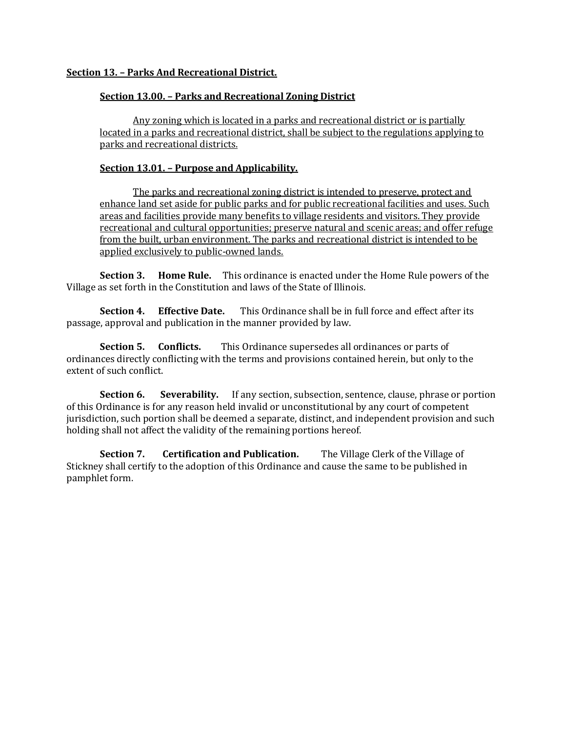# **Section 13. – Parks And Recreational District.**

## **Section 13.00. – Parks and Recreational Zoning District**

Any zoning which is located in a parks and recreational district or is partially located in a parks and recreational district, shall be subject to the regulations applying to parks and recreational districts.

# **Section 13.01. – Purpose and Applicability.**

The parks and recreational zoning district is intended to preserve, protect and enhance land set aside for public parks and for public recreational facilities and uses. Such areas and facilities provide many benefits to village residents and visitors. They provide recreational and cultural opportunities; preserve natural and scenic areas; and offer refuge from the built, urban environment. The parks and recreational district is intended to be applied exclusively to public-owned lands.

**Section 3. Home Rule.** This ordinance is enacted under the Home Rule powers of the Village as set forth in the Constitution and laws of the State of Illinois.

**Section 4. Effective Date.** This Ordinance shall be in full force and effect after its passage, approval and publication in the manner provided by law.

**Section 5. Conflicts.** This Ordinance supersedes all ordinances or parts of ordinances directly conflicting with the terms and provisions contained herein, but only to the extent of such conflict.

**Section 6.** Severability. If any section, subsection, sentence, clause, phrase or portion of this Ordinance is for any reason held invalid or unconstitutional by any court of competent jurisdiction, such portion shall be deemed a separate, distinct, and independent provision and such holding shall not affect the validity of the remaining portions hereof.

**Section 7. Certification and Publication.** The Village Clerk of the Village of Stickney shall certify to the adoption of this Ordinance and cause the same to be published in pamphlet form.